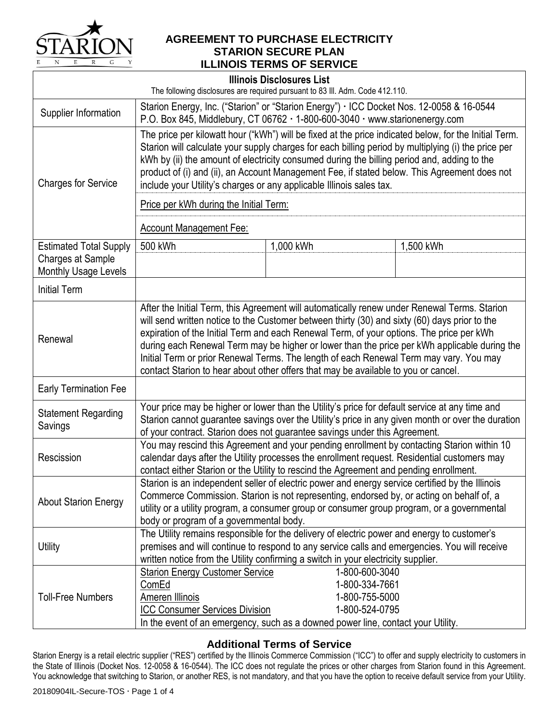

## **AGREEMENT TO PURCHASE ELECTRICITY STARION SECURE PLAN ILLINOIS TERMS OF SERVICE**

| <b>Illinois Disclosures List</b><br>The following disclosures are required pursuant to 83 III. Adm. Code 412.110. |                                                                                                                                                                                                                                                                                                                                                                                                                                                                                                                                                                           |           |           |
|-------------------------------------------------------------------------------------------------------------------|---------------------------------------------------------------------------------------------------------------------------------------------------------------------------------------------------------------------------------------------------------------------------------------------------------------------------------------------------------------------------------------------------------------------------------------------------------------------------------------------------------------------------------------------------------------------------|-----------|-----------|
| Supplier Information                                                                                              | Starion Energy, Inc. ("Starion" or "Starion Energy") · ICC Docket Nos. 12-0058 & 16-0544<br>P.O. Box 845, Middlebury, CT 06762 · 1-800-600-3040 · www.starionenergy.com                                                                                                                                                                                                                                                                                                                                                                                                   |           |           |
| <b>Charges for Service</b>                                                                                        | The price per kilowatt hour ("kWh") will be fixed at the price indicated below, for the Initial Term.<br>Starion will calculate your supply charges for each billing period by multiplying (i) the price per<br>kWh by (ii) the amount of electricity consumed during the billing period and, adding to the<br>product of (i) and (ii), an Account Management Fee, if stated below. This Agreement does not<br>include your Utility's charges or any applicable Illinois sales tax.<br>Price per kWh during the Initial Term:                                             |           |           |
|                                                                                                                   | <b>Account Management Fee:</b>                                                                                                                                                                                                                                                                                                                                                                                                                                                                                                                                            |           |           |
| <b>Estimated Total Supply</b><br><b>Charges at Sample</b><br>Monthly Usage Levels                                 | 500 kWh                                                                                                                                                                                                                                                                                                                                                                                                                                                                                                                                                                   | 1,000 kWh | 1,500 kWh |
| <b>Initial Term</b>                                                                                               |                                                                                                                                                                                                                                                                                                                                                                                                                                                                                                                                                                           |           |           |
| Renewal                                                                                                           | After the Initial Term, this Agreement will automatically renew under Renewal Terms. Starion<br>will send written notice to the Customer between thirty (30) and sixty (60) days prior to the<br>expiration of the Initial Term and each Renewal Term, of your options. The price per kWh<br>during each Renewal Term may be higher or lower than the price per kWh applicable during the<br>Initial Term or prior Renewal Terms. The length of each Renewal Term may vary. You may<br>contact Starion to hear about other offers that may be available to you or cancel. |           |           |
| <b>Early Termination Fee</b>                                                                                      |                                                                                                                                                                                                                                                                                                                                                                                                                                                                                                                                                                           |           |           |
| <b>Statement Regarding</b><br>Savings                                                                             | Your price may be higher or lower than the Utility's price for default service at any time and<br>Starion cannot guarantee savings over the Utility's price in any given month or over the duration<br>of your contract. Starion does not guarantee savings under this Agreement.                                                                                                                                                                                                                                                                                         |           |           |
| Rescission                                                                                                        | You may rescind this Agreement and your pending enrollment by contacting Starion within 10<br>calendar days after the Utility processes the enrollment request. Residential customers may<br>contact either Starion or the Utility to rescind the Agreement and pending enrollment.                                                                                                                                                                                                                                                                                       |           |           |
| <b>About Starion Energy</b>                                                                                       | Starion is an independent seller of electric power and energy service certified by the Illinois<br>Commerce Commission. Starion is not representing, endorsed by, or acting on behalf of, a<br>utility or a utility program, a consumer group or consumer group program, or a governmental<br>body or program of a governmental body.                                                                                                                                                                                                                                     |           |           |
| Utility                                                                                                           | The Utility remains responsible for the delivery of electric power and energy to customer's<br>premises and will continue to respond to any service calls and emergencies. You will receive<br>written notice from the Utility confirming a switch in your electricity supplier.                                                                                                                                                                                                                                                                                          |           |           |
| <b>Toll-Free Numbers</b>                                                                                          | 1-800-600-3040<br><b>Starion Energy Customer Service</b><br>1-800-334-7661<br>ComEd<br>Ameren Illinois<br>1-800-755-5000<br>1-800-524-0795<br>ICC Consumer Services Division<br>In the event of an emergency, such as a downed power line, contact your Utility.                                                                                                                                                                                                                                                                                                          |           |           |

# **Additional Terms of Service**

Starion Energy is a retail electric supplier ("RES") certified by the Illinois Commerce Commission ("ICC") to offer and supply electricity to customers in the State of Illinois (Docket Nos. 12-0058 & 16-0544). The ICC does not regulate the prices or other charges from Starion found in this Agreement. You acknowledge that switching to Starion, or another RES, is not mandatory, and that you have the option to receive default service from your Utility.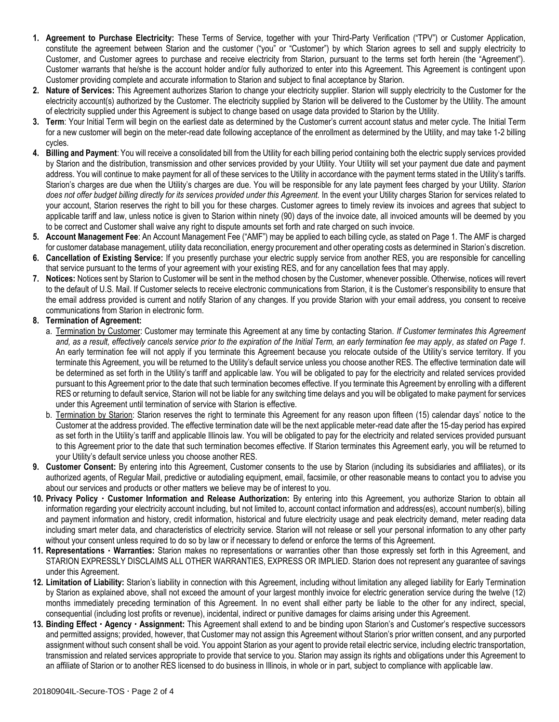- **1. Agreement to Purchase Electricity:** These Terms of Service, together with your Third-Party Verification ("TPV") or Customer Application, constitute the agreement between Starion and the customer ("you" or "Customer") by which Starion agrees to sell and supply electricity to Customer, and Customer agrees to purchase and receive electricity from Starion, pursuant to the terms set forth herein (the "Agreement"). Customer warrants that he/she is the account holder and/or fully authorized to enter into this Agreement. This Agreement is contingent upon Customer providing complete and accurate information to Starion and subject to final acceptance by Starion.
- **2. Nature of Services:** This Agreement authorizes Starion to change your electricity supplier. Starion will supply electricity to the Customer for the electricity account(s) authorized by the Customer. The electricity supplied by Starion will be delivered to the Customer by the Utility. The amount of electricity supplied under this Agreement is subject to change based on usage data provided to Starion by the Utility.
- **3. Term**: Your Initial Term will begin on the earliest date as determined by the Customer's current account status and meter cycle. The Initial Term for a new customer will begin on the meter-read date following acceptance of the enrollment as determined by the Utility, and may take 1-2 billing cycles.
- **4. Billing and Payment**: You will receive a consolidated bill from the Utility for each billing period containing both the electric supply services provided by Starion and the distribution, transmission and other services provided by your Utility. Your Utility will set your payment due date and payment address. You will continue to make payment for all of these services to the Utility in accordance with the payment terms stated in the Utility's tariffs. Starion's charges are due when the Utility's charges are due. You will be responsible for any late payment fees charged by your Utility. *Starion*  does not offer budget billing directly for its services provided under this Agreement. In the event your Utility charges Starion for services related to your account, Starion reserves the right to bill you for these charges. Customer agrees to timely review its invoices and agrees that subject to applicable tariff and law, unless notice is given to Starion within ninety (90) days of the invoice date, all invoiced amounts will be deemed by you to be correct and Customer shall waive any right to dispute amounts set forth and rate charged on such invoice.
- **5. Account Management Fee**: An Account Management Fee ("AMF") may be applied to each billing cycle, as stated on Page 1. The AMF is charged for customer database management, utility data reconciliation, energy procurement and other operating costs as determined in Starion's discretion.
- **6. Cancellation of Existing Service:** If you presently purchase your electric supply service from another RES, you are responsible for cancelling that service pursuant to the terms of your agreement with your existing RES, and for any cancellation fees that may apply.
- **7. Notices:** Notices sent by Starion to Customer will be sent in the method chosen by the Customer, whenever possible. Otherwise, notices will revert to the default of U.S. Mail. If Customer selects to receive electronic communications from Starion, it is the Customer's responsibility to ensure that the email address provided is current and notify Starion of any changes. If you provide Starion with your email address, you consent to receive communications from Starion in electronic form.

### **8. Termination of Agreement:**

- a. Termination by Customer: Customer may terminate this Agreement at any time by contacting Starion. *If Customer terminates this Agreement and, as a result, effectively cancels service prior to the expiration of the Initial Term, an early termination fee may apply, as stated on Page 1.* An early termination fee will not apply if you terminate this Agreement because you relocate outside of the Utility's service territory. If you terminate this Agreement, you will be returned to the Utility's default service unless you choose another RES. The effective termination date will be determined as set forth in the Utility's tariff and applicable law. You will be obligated to pay for the electricity and related services provided pursuant to this Agreement prior to the date that such termination becomes effective. If you terminate this Agreement by enrolling with a different RES or returning to default service, Starion will not be liable for any switching time delays and you will be obligated to make payment for services under this Agreement until termination of service with Starion is effective.
- b. Termination by Starion: Starion reserves the right to terminate this Agreement for any reason upon fifteen (15) calendar days' notice to the Customer at the address provided. The effective termination date will be the next applicable meter-read date after the 15-day period has expired as set forth in the Utility's tariff and applicable Illinois law. You will be obligated to pay for the electricity and related services provided pursuant to this Agreement prior to the date that such termination becomes effective. If Starion terminates this Agreement early, you will be returned to your Utility's default service unless you choose another RES.
- **9. Customer Consent:** By entering into this Agreement, Customer consents to the use by Starion (including its subsidiaries and affiliates), or its authorized agents, of Regular Mail, predictive or autodialing equipment, email, facsimile, or other reasonable means to contact you to advise you about our services and products or other matters we believe may be of interest to you.
- **10. Privacy Policy Customer Information and Release Authorization:** By entering into this Agreement, you authorize Starion to obtain all information regarding your electricity account including, but not limited to, account contact information and address(es), account number(s), billing and payment information and history, credit information, historical and future electricity usage and peak electricity demand, meter reading data including smart meter data, and characteristics of electricity service. Starion will not release or sell your personal information to any other party without your consent unless required to do so by law or if necessary to defend or enforce the terms of this Agreement.
- **11. Representations Warranties:** Starion makes no representations or warranties other than those expressly set forth in this Agreement, and STARION EXPRESSLY DISCLAIMS ALL OTHER WARRANTIES, EXPRESS OR IMPLIED. Starion does not represent any guarantee of savings under this Agreement.
- **12. Limitation of Liability:** Starion's liability in connection with this Agreement, including without limitation any alleged liability for Early Termination by Starion as explained above, shall not exceed the amount of your largest monthly invoice for electric generation service during the twelve (12) months immediately preceding termination of this Agreement. In no event shall either party be liable to the other for any indirect, special, consequential (including lost profits or revenue), incidental, indirect or punitive damages for claims arising under this Agreement.
- 13. Binding Effect **· Agency · Assignment:** This Agreement shall extend to and be binding upon Starion's and Customer's respective successors and permitted assigns; provided, however, that Customer may not assign this Agreement without Starion's prior written consent, and any purported assignment without such consent shall be void. You appoint Starion as your agent to provide retail electric service, including electric transportation, transmission and related services appropriate to provide that service to you. Starion may assign its rights and obligations under this Agreement to an affiliate of Starion or to another RES licensed to do business in Illinois, in whole or in part, subject to compliance with applicable law.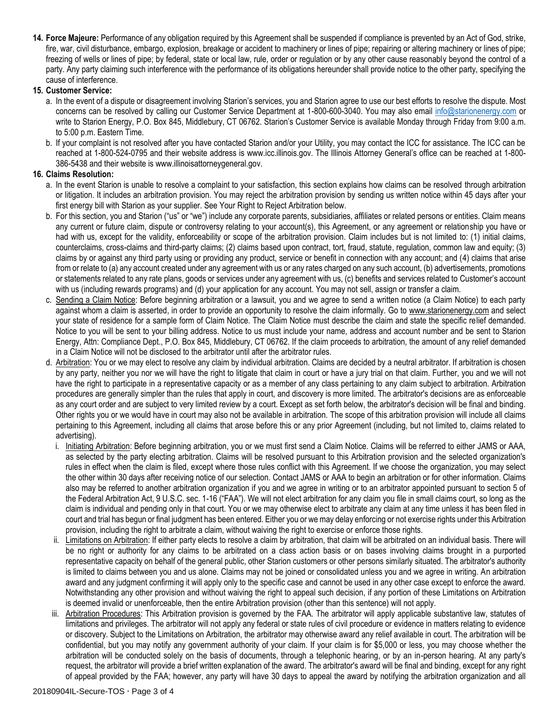**14. Force Majeure:** Performance of any obligation required by this Agreement shall be suspended if compliance is prevented by an Act of God, strike, fire, war, civil disturbance, embargo, explosion, breakage or accident to machinery or lines of pipe; repairing or altering machinery or lines of pipe; freezing of wells or lines of pipe; by federal, state or local law, rule, order or regulation or by any other cause reasonably beyond the control of a party. Any party claiming such interference with the performance of its obligations hereunder shall provide notice to the other party, specifying the cause of interference.

### **15. Customer Service:**

- a. In the event of a dispute or disagreement involving Starion's services, you and Starion agree to use our best efforts to resolve the dispute. Most concerns can be resolved by calling our Customer Service Department at 1-800-600-3040. You may also email [info@starionenergy.com](mailto:info@starionenergy.com) or write to Starion Energy, P.O. Box 845, Middlebury, CT 06762. Starion's Customer Service is available Monday through Friday from 9:00 a.m. to 5:00 p.m. Eastern Time.
- b. If your complaint is not resolved after you have contacted Starion and/or your Utility, you may contact the ICC for assistance. The ICC can be reached at 1-800-524-0795 and their website address is www.icc.illinois.gov. The Illinois Attorney General's office can be reached at 1-800- 386-5438 and their website is www.illinoisattorneygeneral.gov.

#### **16. Claims Resolution:**

- a. In the event Starion is unable to resolve a complaint to your satisfaction, this section explains how claims can be resolved through arbitration or litigation. It includes an arbitration provision. You may reject the arbitration provision by sending us written notice within 45 days after your first energy bill with Starion as your supplier. See Your Right to Reject Arbitration below.
- b. For this section, you and Starion ("us" or "we") include any corporate parents, subsidiaries, affiliates or related persons or entities. Claim means any current or future claim, dispute or controversy relating to your account(s), this Agreement, or any agreement or relationship you have or had with us, except for the validity, enforceability or scope of the arbitration provision. Claim includes but is not limited to: (1) initial claims, counterclaims, cross-claims and third-party claims; (2) claims based upon contract, tort, fraud, statute, regulation, common law and equity; (3) claims by or against any third party using or providing any product, service or benefit in connection with any account; and (4) claims that arise from or relate to (a) any account created under any agreement with us or any rates charged on any such account, (b) advertisements, promotions or statements related to any rate plans, goods or services under any agreement with us, (c) benefits and services related to Customer's account with us (including rewards programs) and (d) your application for any account. You may not sell, assign or transfer a claim.
- c. Sending a Claim Notice: Before beginning arbitration or a lawsuit, you and we agree to send a written notice (a Claim Notice) to each party against whom a claim is asserted, in order to provide an opportunity to resolve the claim informally. Go to www.starionenergy.com and select your state of residence for a sample form of Claim Notice. The Claim Notice must describe the claim and state the specific relief demanded. Notice to you will be sent to your billing address. Notice to us must include your name, address and account number and be sent to Starion Energy, Attn: Compliance Dept., P.O. Box 845, Middlebury, CT 06762. If the claim proceeds to arbitration, the amount of any relief demanded in a Claim Notice will not be disclosed to the arbitrator until after the arbitrator rules.
- d. Arbitration: You or we may elect to resolve any claim by individual arbitration. Claims are decided by a neutral arbitrator. If arbitration is chosen by any party, neither you nor we will have the right to litigate that claim in court or have a jury trial on that claim. Further, you and we will not have the right to participate in a representative capacity or as a member of any class pertaining to any claim subject to arbitration. Arbitration procedures are generally simpler than the rules that apply in court, and discovery is more limited. The arbitrator's decisions are as enforceable as any court order and are subject to very limited review by a court. Except as set forth below, the arbitrator's decision will be final and binding. Other rights you or we would have in court may also not be available in arbitration. The scope of this arbitration provision will include all claims pertaining to this Agreement, including all claims that arose before this or any prior Agreement (including, but not limited to, claims related to advertising).
	- i. Initiating Arbitration: Before beginning arbitration, you or we must first send a Claim Notice. Claims will be referred to either JAMS or AAA, as selected by the party electing arbitration. Claims will be resolved pursuant to this Arbitration provision and the selected organization's rules in effect when the claim is filed, except where those rules conflict with this Agreement. If we choose the organization, you may select the other within 30 days after receiving notice of our selection. Contact JAMS or AAA to begin an arbitration or for other information. Claims also may be referred to another arbitration organization if you and we agree in writing or to an arbitrator appointed pursuant to section 5 of the Federal Arbitration Act, 9 U.S.C. sec. 1-16 ("FAA"). We will not elect arbitration for any claim you file in small claims court, so long as the claim is individual and pending only in that court. You or we may otherwise elect to arbitrate any claim at any time unless it has been filed in court and trial has begun or final judgment has been entered. Either you or we may delay enforcing or not exercise rights under this Arbitration provision, including the right to arbitrate a claim, without waiving the right to exercise or enforce those rights.
	- ii. Limitations on Arbitration: If either party elects to resolve a claim by arbitration, that claim will be arbitrated on an individual basis. There will be no right or authority for any claims to be arbitrated on a class action basis or on bases involving claims brought in a purported representative capacity on behalf of the general public, other Starion customers or other persons similarly situated. The arbitrator's authority is limited to claims between you and us alone. Claims may not be joined or consolidated unless you and we agree in writing. An arbitration award and any judgment confirming it will apply only to the specific case and cannot be used in any other case except to enforce the award. Notwithstanding any other provision and without waiving the right to appeal such decision, if any portion of these Limitations on Arbitration is deemed invalid or unenforceable, then the entire Arbitration provision (other than this sentence) will not apply.
	- iii. Arbitration Procedures: This Arbitration provision is governed by the FAA. The arbitrator will apply applicable substantive law, statutes of limitations and privileges. The arbitrator will not apply any federal or state rules of civil procedure or evidence in matters relating to evidence or discovery. Subject to the Limitations on Arbitration, the arbitrator may otherwise award any relief available in court. The arbitration will be confidential, but you may notify any government authority of your claim. If your claim is for \$5,000 or less, you may choose whether the arbitration will be conducted solely on the basis of documents, through a telephonic hearing, or by an in-person hearing. At any party's request, the arbitrator will provide a brief written explanation of the award. The arbitrator's award will be final and binding, except for any right of appeal provided by the FAA; however, any party will have 30 days to appeal the award by notifying the arbitration organization and all